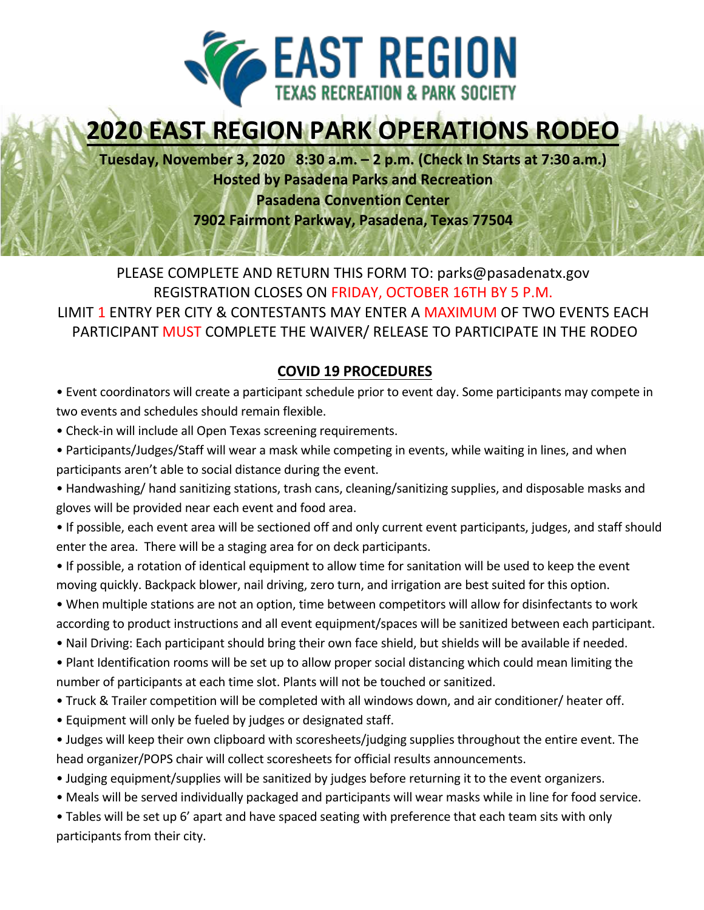

# **2020 EAST REGION PARK OPERATIONS RODEO**

**Tuesday, November 3, 2020 8:30 a.m. – 2 p.m. (Check In Starts at 7:30 a.m.) Hosted by Pasadena Parks and Recreation** 

**Pasadena Convention Center**

**7902 Fairmont Parkway, Pasadena, Texas 77504**

PLEASE COMPLETE AND RETURN THIS FORM TO: parks@pasadenatx.gov REGISTRATION CLOSES ON FRIDAY, OCTOBER 16TH BY 5 P.M. LIMIT 1 ENTRY PER CITY & CONTESTANTS MAY ENTER A MAXIMUM OF TWO EVENTS EACH PARTICIPANT MUST COMPLETE THE WAIVER/ RELEASE TO PARTICIPATE IN THE RODEO

## **COVID 19 PROCEDURES**

• Event coordinators will create a participant schedule prior to event day. Some participants may compete in two events and schedules should remain flexible.

- Check-in will include all Open Texas screening requirements.
- Participants/Judges/Staff will wear a mask while competing in events, while waiting in lines, and when participants aren't able to social distance during the event.
- Handwashing/ hand sanitizing stations, trash cans, cleaning/sanitizing supplies, and disposable masks and gloves will be provided near each event and food area.
- If possible, each event area will be sectioned off and only current event participants, judges, and staff should enter the area. There will be a staging area for on deck participants.
- If possible, a rotation of identical equipment to allow time for sanitation will be used to keep the event moving quickly. Backpack blower, nail driving, zero turn, and irrigation are best suited for this option.
- When multiple stations are not an option, time between competitors will allow for disinfectants to work according to product instructions and all event equipment/spaces will be sanitized between each participant.
- Nail Driving: Each participant should bring their own face shield, but shields will be available if needed.
- Plant Identification rooms will be set up to allow proper social distancing which could mean limiting the number of participants at each time slot. Plants will not be touched or sanitized.
- Truck & Trailer competition will be completed with all windows down, and air conditioner/ heater off.
- Equipment will only be fueled by judges or designated staff.
- Judges will keep their own clipboard with scoresheets/judging supplies throughout the entire event. The head organizer/POPS chair will collect scoresheets for official results announcements.
- Judging equipment/supplies will be sanitized by judges before returning it to the event organizers.
- Meals will be served individually packaged and participants will wear masks while in line for food service.

• Tables will be set up 6' apart and have spaced seating with preference that each team sits with only participants from their city.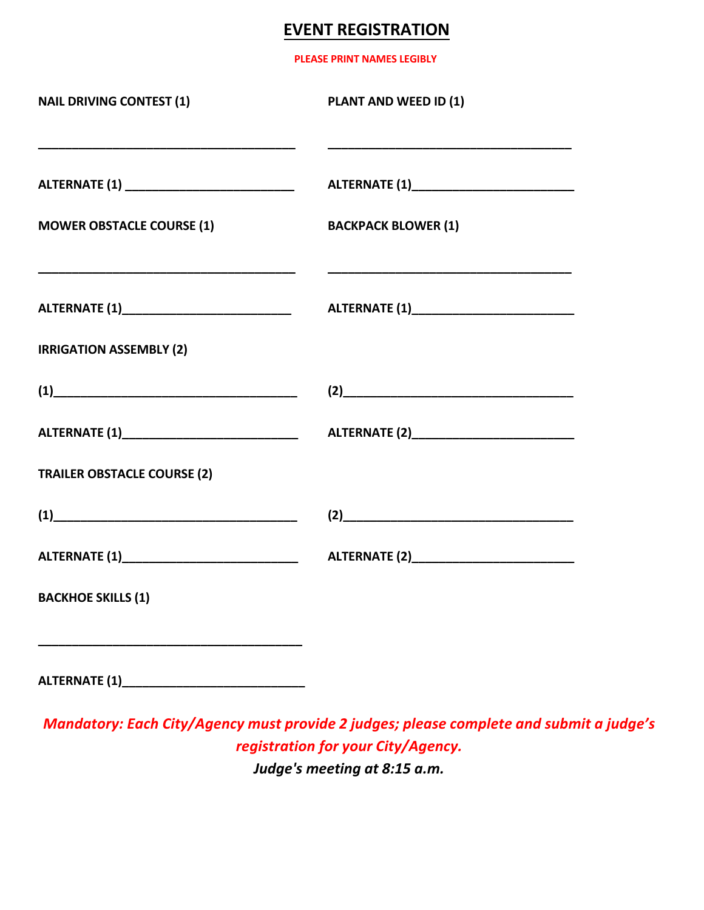## **EVENT REGISTRATION**

**PLEASE PRINT NAMES LEGIBLY**

| <b>NAIL DRIVING CONTEST (1)</b><br><u> 1989 - Johann Barbara, martxa al III-lea (h. 1989).</u>                                                                                                                                                                                                                                                   | PLANT AND WEED ID (1)<br><u> 1980 - Johann Barbara, martxa alemaniar argumento de la contrada de la contrada de la contrada de la contrad</u>                                                                                 |
|--------------------------------------------------------------------------------------------------------------------------------------------------------------------------------------------------------------------------------------------------------------------------------------------------------------------------------------------------|-------------------------------------------------------------------------------------------------------------------------------------------------------------------------------------------------------------------------------|
|                                                                                                                                                                                                                                                                                                                                                  |                                                                                                                                                                                                                               |
| <b>MOWER OBSTACLE COURSE (1)</b>                                                                                                                                                                                                                                                                                                                 | <b>BACKPACK BLOWER (1)</b>                                                                                                                                                                                                    |
| <u> 1989 - Johann Barbara, martxa alemaniar argumento de la contrada de la contrada de la contrada de la contrad</u><br>ALTERNATE (1)_______________________________                                                                                                                                                                             |                                                                                                                                                                                                                               |
| <b>IRRIGATION ASSEMBLY (2)</b>                                                                                                                                                                                                                                                                                                                   |                                                                                                                                                                                                                               |
| $\begin{picture}(1) \put(0,0) {\line(1,0){10}} \put(1.5,0){\line(1,0){10}} \put(1.5,0){\line(1,0){10}} \put(1.5,0){\line(1,0){10}} \put(1.5,0){\line(1,0){10}} \put(1.5,0){\line(1,0){10}} \put(1.5,0){\line(1,0){10}} \put(1.5,0){\line(1,0){10}} \put(1.5,0){\line(1,0){10}} \put(1.5,0){\line(1,0){10}} \put(1.5,0){\line(1,0){10}} \put(1.5$ | $(2)$ and $(2)$ and $(3)$ and $(4)$ and $(5)$ and $(6)$ and $(7)$ and $(8)$ and $(9)$ and $(10)$ and $(11)$ and $(12)$ and $(13)$ and $(14)$ and $(15)$ and $(17)$ and $(17)$ and $(17)$ and $(17)$ and $(17)$ and $(17)$ and |
|                                                                                                                                                                                                                                                                                                                                                  | ALTERNATE (2)_____________________________                                                                                                                                                                                    |
| <b>TRAILER OBSTACLE COURSE (2)</b>                                                                                                                                                                                                                                                                                                               |                                                                                                                                                                                                                               |
| $\begin{array}{c} \hline \textbf{(1)} \end{array}$                                                                                                                                                                                                                                                                                               | (2)                                                                                                                                                                                                                           |
|                                                                                                                                                                                                                                                                                                                                                  |                                                                                                                                                                                                                               |
| <b>BACKHOE SKILLS (1)</b>                                                                                                                                                                                                                                                                                                                        |                                                                                                                                                                                                                               |
|                                                                                                                                                                                                                                                                                                                                                  |                                                                                                                                                                                                                               |

*Mandatory: Each City/Agency must provide 2 judges; please complete and submit a judge's registration for your City/Agency. Judge's meeting at 8:15 a.m.*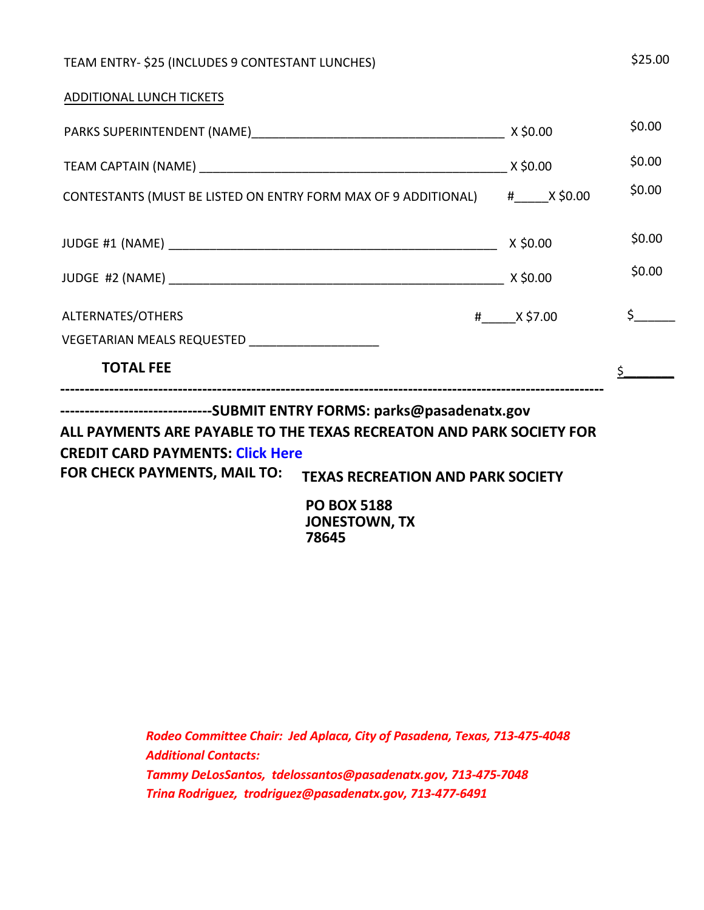| TEAM ENTRY- \$25 (INCLUDES 9 CONTESTANT LUNCHES)                                                                                                                       |           | \$25.00                        |
|------------------------------------------------------------------------------------------------------------------------------------------------------------------------|-----------|--------------------------------|
| ADDITIONAL LUNCH TICKETS                                                                                                                                               |           |                                |
|                                                                                                                                                                        |           | \$0.00                         |
|                                                                                                                                                                        |           | \$0.00                         |
| CONTESTANTS (MUST BE LISTED ON ENTRY FORM MAX OF 9 ADDITIONAL) #_____X \$0.00                                                                                          |           | \$0.00                         |
|                                                                                                                                                                        | X \$0.00  | \$0.00                         |
|                                                                                                                                                                        |           | \$0.00                         |
| ALTERNATES/OTHERS                                                                                                                                                      | # X\$7.00 | $\sharp$ , the set of $\sharp$ |
| VEGETARIAN MEALS REQUESTED _______________________                                                                                                                     |           |                                |
| <b>TOTAL FEE</b>                                                                                                                                                       |           |                                |
| -------------------------------SUBMIT ENTRY FORMS: parks@pasadenatx.gov                                                                                                |           |                                |
| ALL PAYMENTS ARE PAYABLE TO THE TEXAS RECREATON AND PARK SOCIETY FOR<br><b>CREDIT CARD PAYMENTS: Click Here</b><br>$FAD$ CUECK DAVIMENTS IMAIL TO: $F = 1$<br>$\cdots$ |           |                                |

**FOR CHECK PAYMENTS, MAIL TO: TEXAS RECREATION AND PARK SOCIETY**

**PO BOX 5188 JONESTOWN, TX 78645**

*Rodeo Committee Chair: Jed Aplaca, City of Pasadena, Texas, 713-475-4048 Additional Contacts: Tammy DeLosSantos, tdelossantos@pasadenatx.gov, 713-475-7048 Trina Rodriguez, trodriguez@pasadenatx.gov, 713-477-6491*